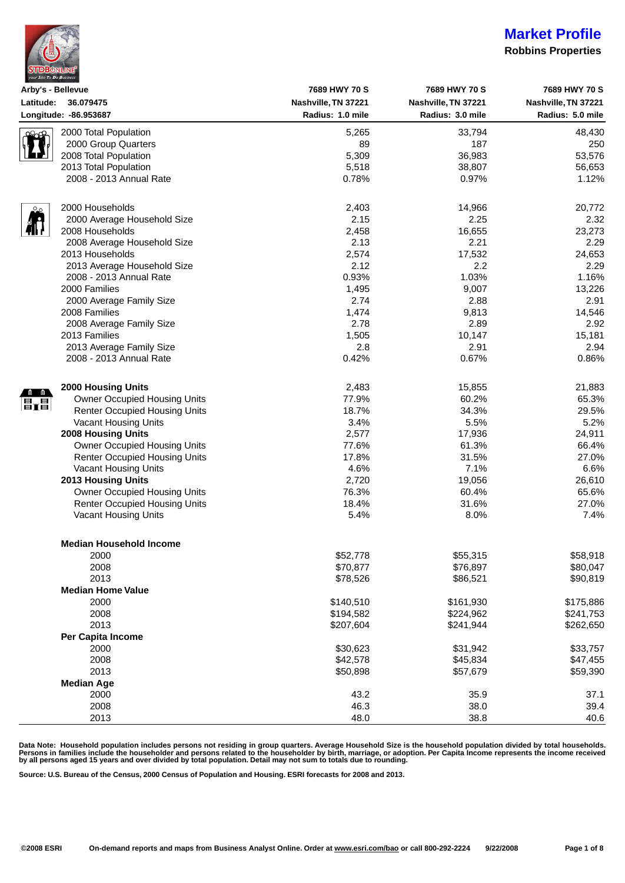| <b>STDBONLINE</b><br>your Site To Do Business |
|-----------------------------------------------|

### **Robbins Properties**

| Arby's - Bellevue |                                      | 7689 HWY 70 S       | 7689 HWY 70 S       | 7689 HWY 70 S       |
|-------------------|--------------------------------------|---------------------|---------------------|---------------------|
| Latitude:         | 36.079475                            | Nashville, TN 37221 | Nashville, TN 37221 | Nashville, TN 37221 |
|                   | Longitude: - 86.953687               | Radius: 1.0 mile    | Radius: 3.0 mile    | Radius: 5.0 mile    |
|                   | 2000 Total Population                | 5,265               | 33,794              | 48,430              |
|                   | 2000 Group Quarters                  | 89                  | 187                 | 250                 |
|                   | 2008 Total Population                | 5,309               | 36,983              | 53,576              |
|                   | 2013 Total Population                | 5,518               | 38,807              | 56,653              |
|                   | 2008 - 2013 Annual Rate              | 0.78%               | 0.97%               | 1.12%               |
|                   |                                      |                     |                     |                     |
|                   | 2000 Households                      | 2,403               | 14,966              | 20,772              |
|                   | 2000 Average Household Size          | 2.15                | 2.25                | 2.32                |
|                   | 2008 Households                      | 2,458               | 16,655              | 23,273              |
|                   | 2008 Average Household Size          | 2.13                | 2.21                | 2.29                |
|                   | 2013 Households                      | 2,574               | 17,532              | 24,653              |
|                   | 2013 Average Household Size          | 2.12                | 2.2                 | 2.29                |
|                   | 2008 - 2013 Annual Rate              | 0.93%               | 1.03%               | 1.16%               |
|                   | 2000 Families                        | 1,495               | 9,007               | 13,226              |
|                   | 2000 Average Family Size             | 2.74                | 2.88                | 2.91                |
|                   | 2008 Families                        |                     |                     |                     |
|                   |                                      | 1,474               | 9,813               | 14,546              |
|                   | 2008 Average Family Size             | 2.78                | 2.89                | 2.92                |
|                   | 2013 Families                        | 1,505               | 10,147              | 15,181              |
|                   | 2013 Average Family Size             | 2.8                 | 2.91                | 2.94                |
|                   | 2008 - 2013 Annual Rate              | 0.42%               | 0.67%               | 0.86%               |
|                   | <b>2000 Housing Units</b>            | 2,483               | 15,855              | 21,883              |
|                   | Owner Occupied Housing Units         | 77.9%               | 60.2%               | 65.3%               |
| $\mathbf{E}$ ra   | <b>Renter Occupied Housing Units</b> | 18.7%               | 34.3%               | 29.5%               |
|                   | Vacant Housing Units                 | 3.4%                | 5.5%                | 5.2%                |
|                   | 2008 Housing Units                   | 2,577               | 17,936              | 24,911              |
|                   | Owner Occupied Housing Units         | 77.6%               | 61.3%               | 66.4%               |
|                   | <b>Renter Occupied Housing Units</b> | 17.8%               | 31.5%               | 27.0%               |
|                   |                                      | 4.6%                | 7.1%                |                     |
|                   | Vacant Housing Units                 |                     |                     | 6.6%                |
|                   | 2013 Housing Units                   | 2,720               | 19,056              | 26,610              |
|                   | Owner Occupied Housing Units         | 76.3%               | 60.4%               | 65.6%               |
|                   | <b>Renter Occupied Housing Units</b> | 18.4%               | 31.6%               | 27.0%               |
|                   | Vacant Housing Units                 | 5.4%                | 8.0%                | 7.4%                |
|                   | <b>Median Household Income</b>       |                     |                     |                     |
|                   | 2000                                 | \$52,778            | \$55,315            | \$58,918            |
|                   | 2008                                 | \$70,877            | \$76,897            | \$80,047            |
|                   | 2013                                 | \$78,526            | \$86,521            | \$90,819            |
|                   | <b>Median Home Value</b>             |                     |                     |                     |
|                   | 2000                                 | \$140,510           | \$161,930           | \$175,886           |
|                   | 2008                                 |                     |                     |                     |
|                   |                                      | \$194,582           | \$224,962           | \$241,753           |
|                   | 2013                                 | \$207,604           | \$241,944           | \$262,650           |
|                   | Per Capita Income                    |                     |                     |                     |
|                   | 2000                                 | \$30,623            | \$31,942            | \$33,757            |
|                   | 2008                                 | \$42,578            | \$45,834            | \$47,455            |
|                   | 2013                                 | \$50,898            | \$57,679            | \$59,390            |
|                   | <b>Median Age</b>                    |                     |                     |                     |
|                   | 2000                                 | 43.2                | 35.9                | 37.1                |
|                   | 2008                                 | 46.3                | 38.0                | 39.4                |
|                   | 2013                                 | 48.0                | 38.8                | 40.6                |

Data Note: Household population includes persons not residing in group quarters. Average Household Size is the household population divided by total households.<br>Persons in families include the householder and persons rela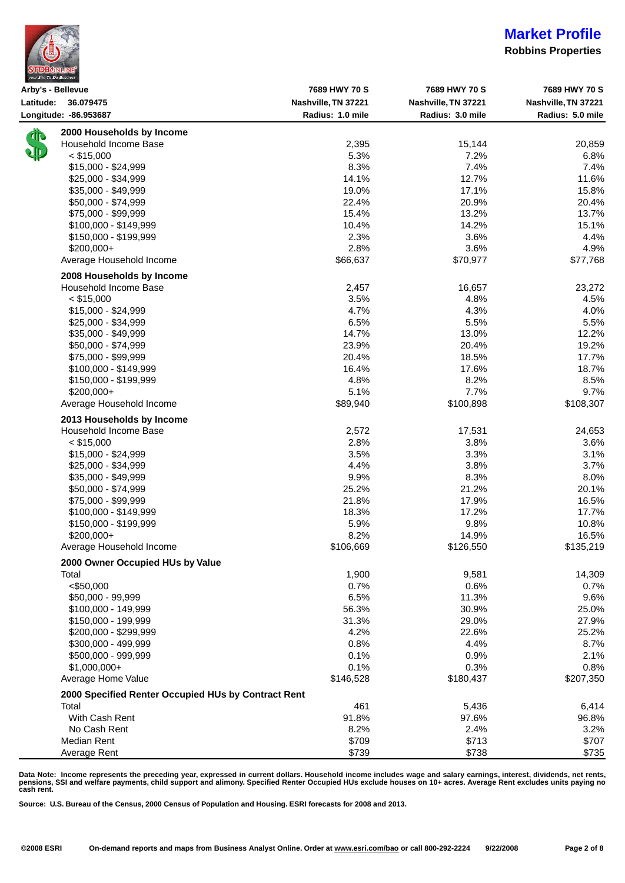| <b>STDBONLINE®</b><br>your Site To Do Business |  |
|------------------------------------------------|--|

### **Robbins Properties**

|           | Arby's - Bellevue                                   | 7689 HWY 70 S       | 7689 HWY 70 S       | 7689 HWY 70 S       |
|-----------|-----------------------------------------------------|---------------------|---------------------|---------------------|
|           | Latitude: 36.079475                                 | Nashville, TN 37221 | Nashville, TN 37221 | Nashville, TN 37221 |
|           | Longitude: - 86.953687                              | Radius: 1.0 mile    | Radius: 3.0 mile    | Radius: 5.0 mile    |
| <b>11</b> | 2000 Households by Income                           |                     |                     |                     |
|           | Household Income Base                               | 2,395               | 15,144              | 20,859              |
|           | $<$ \$15,000                                        | 5.3%                | 7.2%                | 6.8%                |
|           | $$15,000 - $24,999$                                 | 8.3%                | 7.4%                | 7.4%                |
|           | \$25,000 - \$34,999                                 | 14.1%               | 12.7%               | 11.6%               |
|           | \$35,000 - \$49,999                                 | 19.0%               | 17.1%               | 15.8%               |
|           | \$50,000 - \$74,999                                 | 22.4%               | 20.9%               | 20.4%               |
|           | \$75,000 - \$99,999                                 | 15.4%               | 13.2%               | 13.7%               |
|           | $$100,000 - $149,999$                               | 10.4%               | 14.2%               | 15.1%               |
|           | \$150,000 - \$199,999                               | 2.3%                | 3.6%                | 4.4%                |
|           | $$200,000+$                                         | 2.8%                | 3.6%                | 4.9%                |
|           | Average Household Income                            | \$66,637            | \$70,977            | \$77,768            |
|           | 2008 Households by Income                           |                     |                     |                     |
|           | Household Income Base                               | 2,457               | 16,657              | 23,272              |
|           | $<$ \$15,000                                        | 3.5%                | 4.8%                | 4.5%                |
|           | $$15,000 - $24,999$                                 | 4.7%                | 4.3%                | 4.0%                |
|           | \$25,000 - \$34,999                                 | 6.5%                | 5.5%                | 5.5%                |
|           | \$35,000 - \$49,999                                 | 14.7%               | 13.0%               | 12.2%               |
|           | \$50,000 - \$74,999                                 | 23.9%               | 20.4%               | 19.2%               |
|           |                                                     |                     |                     |                     |
|           | \$75,000 - \$99,999                                 | 20.4%               | 18.5%               | 17.7%               |
|           | \$100,000 - \$149,999                               | 16.4%               | 17.6%               | 18.7%               |
|           | \$150,000 - \$199,999                               | 4.8%                | 8.2%                | 8.5%                |
|           | \$200,000+                                          | 5.1%                | 7.7%                | 9.7%                |
|           | Average Household Income                            | \$89,940            | \$100,898           | \$108,307           |
|           | 2013 Households by Income                           |                     |                     |                     |
|           | Household Income Base                               | 2,572               | 17,531              | 24,653              |
|           | $<$ \$15,000                                        | 2.8%                | 3.8%                | 3.6%                |
|           | \$15,000 - \$24,999                                 | 3.5%                | 3.3%                | 3.1%                |
|           | $$25,000 - $34,999$                                 | 4.4%                | 3.8%                | 3.7%                |
|           | $$35,000 - $49,999$                                 | 9.9%                | 8.3%                | 8.0%                |
|           | \$50,000 - \$74,999                                 | 25.2%               | 21.2%               | 20.1%               |
|           | \$75,000 - \$99,999                                 | 21.8%               | 17.9%               | 16.5%               |
|           | $$100,000 - $149,999$                               | 18.3%               | 17.2%               | 17.7%               |
|           | \$150,000 - \$199,999                               | 5.9%                | 9.8%                | 10.8%               |
|           | \$200,000+                                          | 8.2%                | 14.9%               | 16.5%               |
|           | Average Household Income                            | \$106,669           | \$126,550           | \$135,219           |
|           | 2000 Owner Occupied HUs by Value                    |                     |                     |                     |
|           | Total                                               | 1,900               | 9,581               | 14,309              |
|           | < \$50,000                                          | 0.7%                | 0.6%                | 0.7%                |
|           | \$50,000 - 99,999                                   | 6.5%                | 11.3%               | 9.6%                |
|           | \$100,000 - 149,999                                 | 56.3%               | 30.9%               | 25.0%               |
|           | \$150,000 - 199,999                                 | 31.3%               | 29.0%               | 27.9%               |
|           | \$200,000 - \$299,999                               | 4.2%                | 22.6%               | 25.2%               |
|           | \$300,000 - 499,999                                 | 0.8%                | 4.4%                | 8.7%                |
|           | \$500,000 - 999,999                                 | 0.1%                | 0.9%                | 2.1%                |
|           | $$1,000,000+$                                       | 0.1%                | 0.3%                | 0.8%                |
|           | Average Home Value                                  | \$146,528           | \$180,437           | \$207,350           |
|           | 2000 Specified Renter Occupied HUs by Contract Rent |                     |                     |                     |
|           | Total                                               | 461                 | 5,436               | 6,414               |
|           | With Cash Rent                                      | 91.8%               | 97.6%               | 96.8%               |
|           | No Cash Rent                                        | 8.2%                | 2.4%                | 3.2%                |
|           | Median Rent                                         | \$709               | \$713               | \$707               |
|           | Average Rent                                        | \$739               | \$738               | \$735               |

Data Note: Income represents the preceding year, expressed in current dollars. Household income includes wage and salary earnings, interest, dividends, net rents,<br>pensions, SSI and welfare payments, child support and alim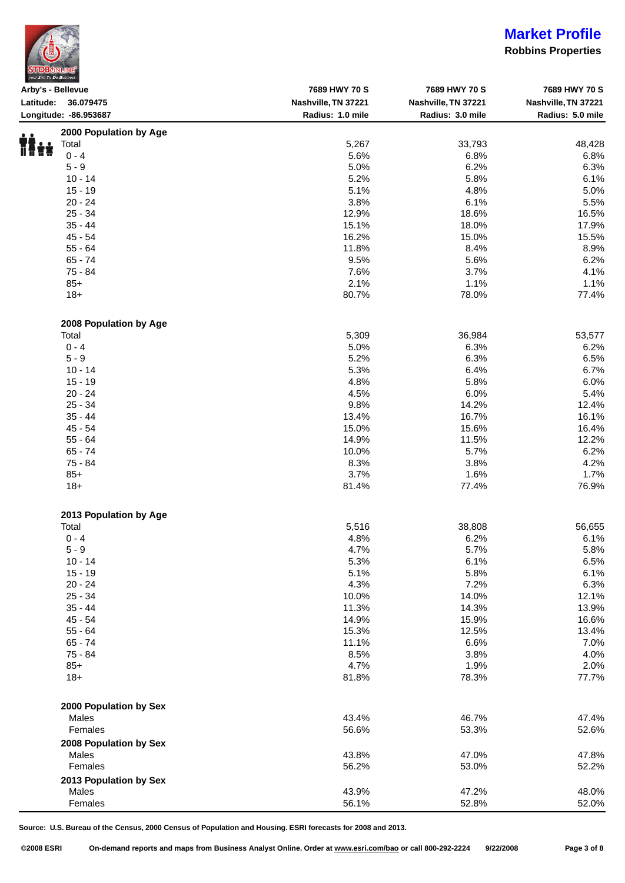| <b>STDBONLINE</b><br>vour Site To Do Business |  |
|-----------------------------------------------|--|

### **Robbins Properties**

| Arby's - Bellevue      | 7689 HWY 70 S       | 7689 HWY 70 S       | 7689 HWY 70 S       |
|------------------------|---------------------|---------------------|---------------------|
| Latitude: 36.079475    | Nashville, TN 37221 | Nashville, TN 37221 | Nashville, TN 37221 |
| Longitude: - 86.953687 | Radius: 1.0 mile    | Radius: 3.0 mile    | Radius: 5.0 mile    |
| 2000 Population by Age |                     |                     |                     |
| Total                  | 5,267               | 33,793              | 48,428              |
| $0 - 4$                | 5.6%                | 6.8%                | 6.8%                |
| $5 - 9$                | 5.0%                | 6.2%                | 6.3%                |
| $10 - 14$              | 5.2%                | 5.8%                | 6.1%                |
| $15 - 19$              | 5.1%                | 4.8%                | 5.0%                |
|                        |                     |                     |                     |
| $20 - 24$              | 3.8%                | 6.1%                | 5.5%                |
| $25 - 34$              | 12.9%               | 18.6%               | 16.5%               |
| $35 - 44$              | 15.1%               | 18.0%               | 17.9%               |
| 45 - 54                | 16.2%               | 15.0%               | 15.5%               |
| $55 - 64$              | 11.8%               | 8.4%                | 8.9%                |
| $65 - 74$              | 9.5%                | 5.6%                | 6.2%                |
| 75 - 84                | 7.6%                | 3.7%                | 4.1%                |
| $85+$                  | 2.1%                | 1.1%                | 1.1%                |
| $18+$                  | 80.7%               | 78.0%               | 77.4%               |
| 2008 Population by Age |                     |                     |                     |
| Total                  | 5,309               | 36,984              | 53,577              |
| $0 - 4$                | 5.0%                | 6.3%                | 6.2%                |
| $5 - 9$                |                     |                     |                     |
|                        | 5.2%                | 6.3%                | 6.5%                |
| $10 - 14$              | 5.3%                | 6.4%                | 6.7%                |
| $15 - 19$              | 4.8%                | 5.8%                | 6.0%                |
| $20 - 24$              | 4.5%                | 6.0%                | 5.4%                |
| $25 - 34$              | 9.8%                | 14.2%               | 12.4%               |
| $35 - 44$              | 13.4%               | 16.7%               | 16.1%               |
| $45 - 54$              | 15.0%               | 15.6%               | 16.4%               |
| $55 - 64$              | 14.9%               | 11.5%               | 12.2%               |
| $65 - 74$              | 10.0%               | 5.7%                | 6.2%                |
| 75 - 84                | 8.3%                | 3.8%                | 4.2%                |
| $85+$                  | 3.7%                | 1.6%                | 1.7%                |
| $18 +$                 | 81.4%               | 77.4%               | 76.9%               |
|                        |                     |                     |                     |
| 2013 Population by Age |                     |                     |                     |
| Total                  | 5,516               | 38,808              | 56,655              |
| $0 - 4$                | 4.8%                | 6.2%                | 6.1%                |
| $5 - 9$                | 4.7%                | 5.7%                | 5.8%                |
| $10 - 14$              | 5.3%                | 6.1%                | 6.5%                |
| $15 - 19$              | 5.1%                | 5.8%                | 6.1%                |
| $20 - 24$              | 4.3%                | 7.2%                | 6.3%                |
| $25 - 34$              | 10.0%               | 14.0%               | 12.1%               |
| $35 - 44$              | 11.3%               | 14.3%               | 13.9%               |
| $45 - 54$              | 14.9%               | 15.9%               | 16.6%               |
| $55 - 64$              | 15.3%               | 12.5%               | 13.4%               |
| $65 - 74$              | 11.1%               | 6.6%                | 7.0%                |
| 75 - 84                | 8.5%                | 3.8%                | 4.0%                |
|                        |                     |                     |                     |
| $85+$                  | 4.7%                | 1.9%                | 2.0%                |
| $18+$                  | 81.8%               | 78.3%               | 77.7%               |
| 2000 Population by Sex |                     |                     |                     |
| Males                  | 43.4%               | 46.7%               | 47.4%               |
| Females                | 56.6%               | 53.3%               | 52.6%               |
| 2008 Population by Sex |                     |                     |                     |
| Males                  | 43.8%               | 47.0%               | 47.8%               |
|                        |                     |                     |                     |
| Females                | 56.2%               | 53.0%               | 52.2%               |
| 2013 Population by Sex |                     |                     |                     |
| Males                  | 43.9%               | 47.2%               | 48.0%               |
| Females                | 56.1%               | 52.8%               | 52.0%               |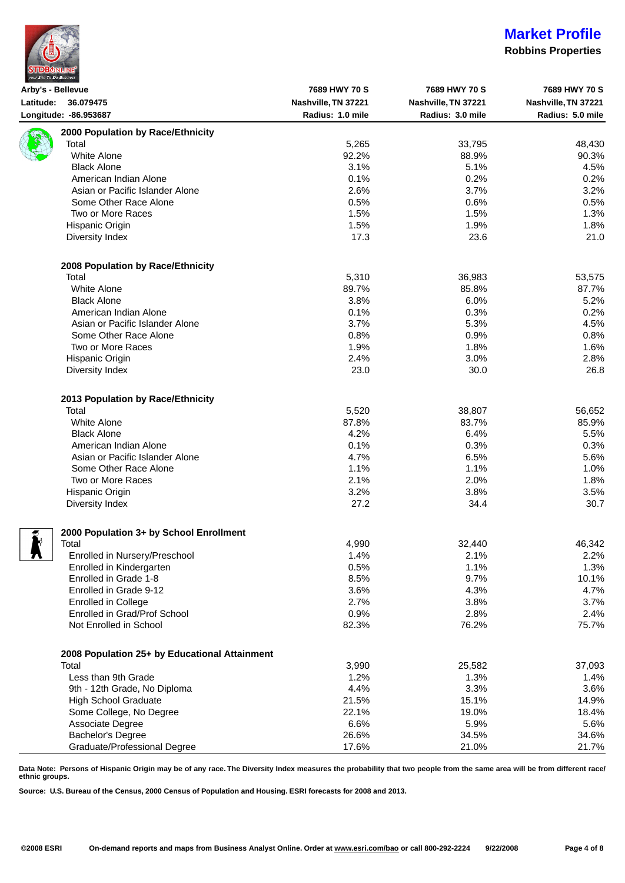| <b>STDBONLINE</b>        |  |
|--------------------------|--|
| your Site To Do Business |  |

## **Market Profile**

#### **Robbins Properties**

| Arby's - Bellevue |                                               | 7689 HWY 70 S       | 7689 HWY 70 S       | 7689 HWY 70 S       |
|-------------------|-----------------------------------------------|---------------------|---------------------|---------------------|
|                   | Latitude: 36.079475                           | Nashville, TN 37221 | Nashville, TN 37221 | Nashville, TN 37221 |
|                   | Longitude: -86.953687                         | Radius: 1.0 mile    | Radius: 3.0 mile    | Radius: 5.0 mile    |
|                   | 2000 Population by Race/Ethnicity             |                     |                     |                     |
|                   | Total                                         | 5,265               | 33,795              | 48,430              |
|                   | <b>White Alone</b>                            | 92.2%               | 88.9%               | 90.3%               |
|                   | <b>Black Alone</b>                            | 3.1%                | 5.1%                | 4.5%                |
|                   | American Indian Alone                         | 0.1%                | 0.2%                | 0.2%                |
|                   | Asian or Pacific Islander Alone               | 2.6%                | 3.7%                | 3.2%                |
|                   | Some Other Race Alone                         | 0.5%                | 0.6%                | 0.5%                |
|                   | Two or More Races                             | 1.5%                | 1.5%                | 1.3%                |
|                   |                                               |                     |                     |                     |
|                   | Hispanic Origin                               | 1.5%                | 1.9%<br>23.6        | 1.8%                |
|                   | Diversity Index                               | 17.3                |                     | 21.0                |
|                   | 2008 Population by Race/Ethnicity             |                     |                     |                     |
|                   | Total                                         | 5,310               | 36,983              | 53,575              |
|                   | <b>White Alone</b>                            | 89.7%               | 85.8%               | 87.7%               |
|                   | <b>Black Alone</b>                            | 3.8%                | 6.0%                | 5.2%                |
|                   | American Indian Alone                         | 0.1%                | 0.3%                | 0.2%                |
|                   | Asian or Pacific Islander Alone               | 3.7%                | 5.3%                | 4.5%                |
|                   | Some Other Race Alone                         |                     |                     |                     |
|                   | Two or More Races                             | 0.8%                | 0.9%                | 0.8%                |
|                   |                                               | 1.9%                | 1.8%                | 1.6%                |
|                   | Hispanic Origin                               | 2.4%                | 3.0%                | 2.8%                |
|                   | Diversity Index                               | 23.0                | 30.0                | 26.8                |
|                   | 2013 Population by Race/Ethnicity             |                     |                     |                     |
|                   | Total                                         | 5,520               | 38,807              | 56,652              |
|                   | <b>White Alone</b>                            | 87.8%               | 83.7%               | 85.9%               |
|                   | <b>Black Alone</b>                            | 4.2%                | 6.4%                | 5.5%                |
|                   | American Indian Alone                         | 0.1%                | 0.3%                | 0.3%                |
|                   | Asian or Pacific Islander Alone               | 4.7%                | 6.5%                | 5.6%                |
|                   | Some Other Race Alone                         | 1.1%                | 1.1%                | 1.0%                |
|                   | Two or More Races                             | 2.1%                | 2.0%                | 1.8%                |
|                   | Hispanic Origin                               | 3.2%                | 3.8%                | 3.5%                |
|                   |                                               | 27.2                |                     |                     |
|                   | Diversity Index                               |                     | 34.4                | 30.7                |
|                   | 2000 Population 3+ by School Enrollment       |                     |                     |                     |
|                   | Total                                         | 4,990               | 32,440              | 46,342              |
| . .               | Enrolled in Nursery/Preschool                 | 1.4%                | 2.1%                | 2.2%                |
|                   | Enrolled in Kindergarten                      | 0.5%                | 1.1%                | 1.3%                |
|                   | Enrolled in Grade 1-8                         | 8.5%                | 9.7%                | 10.1%               |
|                   | Enrolled in Grade 9-12                        | 3.6%                | 4.3%                | 4.7%                |
|                   | <b>Enrolled in College</b>                    | 2.7%                | 3.8%                | 3.7%                |
|                   | Enrolled in Grad/Prof School                  | 0.9%                | 2.8%                | 2.4%                |
|                   | Not Enrolled in School                        | 82.3%               | 76.2%               | 75.7%               |
|                   |                                               |                     |                     |                     |
|                   | 2008 Population 25+ by Educational Attainment |                     |                     |                     |
|                   | Total                                         | 3,990               | 25,582              | 37,093              |
|                   | Less than 9th Grade                           | 1.2%                | 1.3%                | 1.4%                |
|                   | 9th - 12th Grade, No Diploma                  | 4.4%                | 3.3%                | 3.6%                |
|                   | <b>High School Graduate</b>                   | 21.5%               | 15.1%               | 14.9%               |
|                   | Some College, No Degree                       | 22.1%               | 19.0%               | 18.4%               |
|                   | Associate Degree                              | 6.6%                | 5.9%                | 5.6%                |
|                   | Bachelor's Degree                             | 26.6%               | 34.5%               | 34.6%               |
|                   | Graduate/Professional Degree                  | 17.6%               | 21.0%               | 21.7%               |

**Data Note: Persons of Hispanic Origin may be of any race. The Diversity Index measures the probability that two people from the same area will be from different race/ ethnic groups.**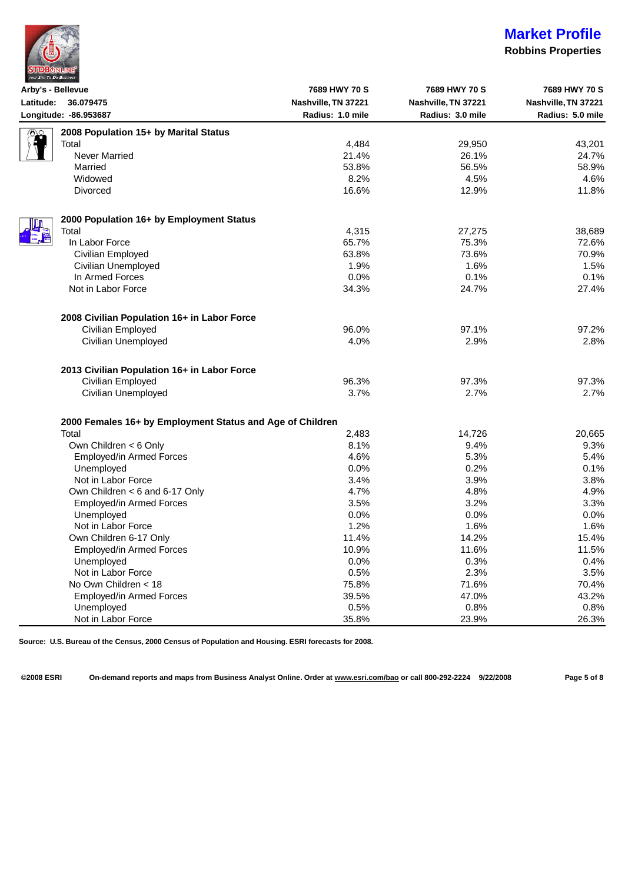

### **Robbins Properties**

| Arby's - Bellevue                                         | 7689 HWY 70 S       | 7689 HWY 70 S       | 7689 HWY 70 S       |
|-----------------------------------------------------------|---------------------|---------------------|---------------------|
| Latitude: 36.079475                                       | Nashville, TN 37221 | Nashville, TN 37221 | Nashville, TN 37221 |
| Longitude: - 86.953687                                    | Radius: 1.0 mile    | Radius: 3.0 mile    | Radius: 5.0 mile    |
| 2008 Population 15+ by Marital Status<br>නං               |                     |                     |                     |
| Total                                                     | 4,484               | 29,950              | 43,201              |
| <b>Never Married</b>                                      | 21.4%               | 26.1%               | 24.7%               |
| Married                                                   | 53.8%               | 56.5%               | 58.9%               |
| Widowed                                                   | 8.2%                | 4.5%                | 4.6%                |
| <b>Divorced</b>                                           | 16.6%               | 12.9%               | 11.8%               |
| 2000 Population 16+ by Employment Status                  |                     |                     |                     |
| Total                                                     | 4,315               | 27,275              | 38,689              |
| In Labor Force                                            | 65.7%               | 75.3%               | 72.6%               |
| Civilian Employed                                         | 63.8%               | 73.6%               | 70.9%               |
| Civilian Unemployed                                       | 1.9%                | 1.6%                | 1.5%                |
| In Armed Forces                                           | 0.0%                | 0.1%                | 0.1%                |
| Not in Labor Force                                        | 34.3%               | 24.7%               | 27.4%               |
| 2008 Civilian Population 16+ in Labor Force               |                     |                     |                     |
| Civilian Employed                                         | 96.0%               | 97.1%               | 97.2%               |
| Civilian Unemployed                                       | 4.0%                | 2.9%                | 2.8%                |
| 2013 Civilian Population 16+ in Labor Force               |                     |                     |                     |
| Civilian Employed                                         | 96.3%               | 97.3%               | 97.3%               |
| Civilian Unemployed                                       | 3.7%                | 2.7%                | 2.7%                |
| 2000 Females 16+ by Employment Status and Age of Children |                     |                     |                     |
| Total                                                     | 2,483               | 14,726              | 20,665              |
| Own Children < 6 Only                                     | 8.1%                | 9.4%                | 9.3%                |
| Employed/in Armed Forces                                  | 4.6%                | 5.3%                | 5.4%                |
| Unemployed                                                | 0.0%                | 0.2%                | 0.1%                |
| Not in Labor Force                                        | 3.4%                | 3.9%                | 3.8%                |
| Own Children < 6 and 6-17 Only                            | 4.7%                | 4.8%                | 4.9%                |
| Employed/in Armed Forces                                  | 3.5%                | 3.2%                | 3.3%                |
| Unemployed                                                | 0.0%                | 0.0%                | 0.0%                |
| Not in Labor Force                                        | 1.2%                | 1.6%                | 1.6%                |
| Own Children 6-17 Only                                    | 11.4%               | 14.2%               | 15.4%               |
| Employed/in Armed Forces                                  | 10.9%               | 11.6%               | 11.5%               |
| Unemployed                                                | 0.0%                | 0.3%                | 0.4%                |
| Not in Labor Force                                        | 0.5%                | 2.3%                | 3.5%                |
| No Own Children < 18                                      | 75.8%               | 71.6%               | 70.4%               |
| Employed/in Armed Forces                                  | 39.5%               | 47.0%               | 43.2%               |
| Unemployed                                                | 0.5%                | 0.8%                | 0.8%                |
| Not in Labor Force                                        | 35.8%               | 23.9%               | 26.3%               |

**Source: U.S. Bureau of the Census, 2000 Census of Population and Housing. ESRI forecasts for 2008.**

**©2008 ESRI On-demand reports and maps from Business Analyst Online. Order at [www.esri.com/bao](http://www.esri.com/bao) or call 800-292-2224 9/22/2008 Page 5 of 8**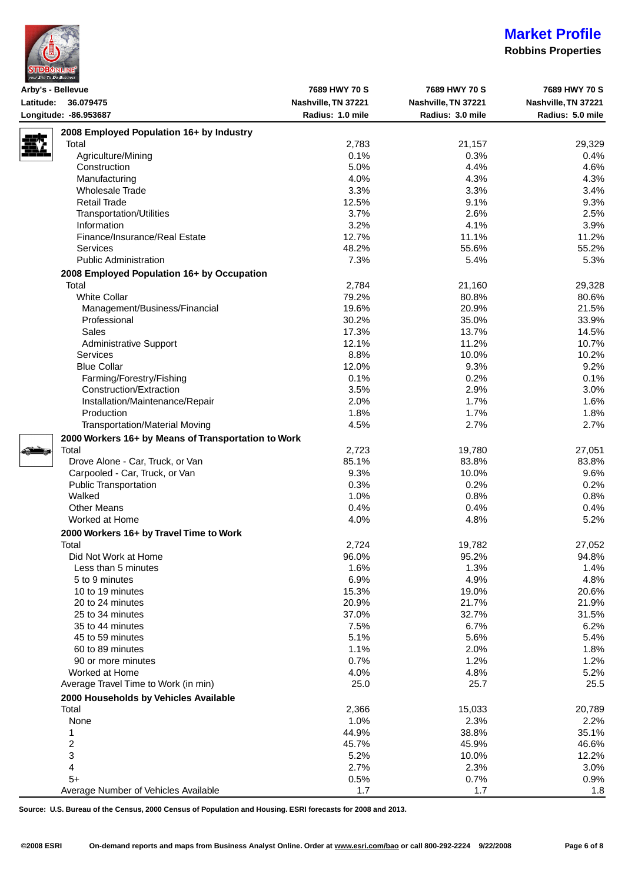|  | <b>STDBONLINE</b>        |  |  |
|--|--------------------------|--|--|
|  | your Site To Do Business |  |  |

### **Robbins Properties**

| Nashville, TN 37221<br>Nashville, TN 37221<br>Nashville, TN 37221<br>Radius: 1.0 mile<br>Radius: 3.0 mile<br>2008 Employed Population 16+ by Industry<br>Total<br>2,783<br>21,157<br>29,329<br>0.1%<br>Agriculture/Mining<br>0.3%<br>0.4%<br>5.0%<br>4.4%<br>Construction<br>4.6%<br>4.0%<br>4.3%<br>Manufacturing<br>4.3%<br>3.3%<br>3.3%<br><b>Wholesale Trade</b><br>3.4%<br><b>Retail Trade</b><br>12.5%<br>9.1%<br>9.3%<br>3.7%<br>2.6%<br><b>Transportation/Utilities</b><br>2.5%<br>Information<br>3.2%<br>4.1%<br>3.9%<br>Finance/Insurance/Real Estate<br>12.7%<br>11.1%<br>48.2%<br>55.6%<br><b>Services</b><br><b>Public Administration</b><br>7.3%<br>5.4%<br>2008 Employed Population 16+ by Occupation<br>2,784<br>Total<br>21,160<br>29,328<br><b>White Collar</b><br>79.2%<br>80.8%<br>80.6%<br>19.6%<br>20.9%<br>Management/Business/Financial<br>21.5%<br>35.0%<br>Professional<br>30.2%<br>33.9%<br>Sales<br>17.3%<br>13.7%<br>14.5%<br>12.1%<br>11.2%<br>Administrative Support<br>10.7%<br>Services<br>8.8%<br>10.0%<br>10.2%<br>9.3%<br><b>Blue Collar</b><br>12.0%<br>9.2%<br>Farming/Forestry/Fishing<br>0.1%<br>0.2%<br>0.1%<br>Construction/Extraction<br>3.5%<br>2.9%<br>3.0%<br>2.0%<br>1.7%<br>Installation/Maintenance/Repair<br>1.6%<br>1.7%<br>Production<br>1.8%<br>4.5%<br>2.7%<br><b>Transportation/Material Moving</b><br>2000 Workers 16+ by Means of Transportation to Work<br>Total<br>2,723<br>19,780<br>27,051<br>Drove Alone - Car, Truck, or Van<br>85.1%<br>83.8%<br>83.8%<br>Carpooled - Car, Truck, or Van<br>9.3%<br>10.0%<br>9.6%<br>0.3%<br>0.2%<br><b>Public Transportation</b><br>0.2%<br>1.0%<br>0.8%<br>Walked<br>0.8%<br><b>Other Means</b><br>0.4%<br>0.4%<br>0.4%<br>4.0%<br>4.8%<br>5.2%<br>Worked at Home<br>2000 Workers 16+ by Travel Time to Work<br>27,052<br>Total<br>2,724<br>19,782<br>95.2%<br>Did Not Work at Home<br>96.0%<br>94.8%<br>1.6%<br>1.3%<br>1.4%<br>Less than 5 minutes<br>6.9%<br>4.9%<br>4.8%<br>5 to 9 minutes<br>15.3%<br>19.0%<br>20.6%<br>10 to 19 minutes<br>20.9%<br>21.7%<br>20 to 24 minutes<br>21.9%<br>37.0%<br>32.7%<br>25 to 34 minutes<br>7.5%<br>6.7%<br>35 to 44 minutes<br>5.1%<br>5.6%<br>45 to 59 minutes<br>1.1%<br>2.0%<br>60 to 89 minutes<br>1.8%<br>0.7%<br>1.2%<br>90 or more minutes<br>1.2%<br>4.0%<br>4.8%<br>Worked at Home<br>5.2%<br>Average Travel Time to Work (in min)<br>25.0<br>25.7<br>25.5<br>2000 Households by Vehicles Available<br>Total<br>15,033<br>20,789<br>2,366<br>None<br>1.0%<br>2.3%<br>2.2%<br>44.9%<br>38.8%<br>35.1%<br>1<br>$\overline{\mathbf{c}}$<br>45.7%<br>45.9%<br>46.6%<br>3<br>5.2%<br>10.0%<br>2.7%<br>2.3%<br>4<br>$5+$<br>0.5%<br>0.7%<br>1.7<br>1.7<br>Average Number of Vehicles Available | Arby's - Bellevue     | 7689 HWY 70 S | 7689 HWY 70 S | 7689 HWY 70 S    |
|------------------------------------------------------------------------------------------------------------------------------------------------------------------------------------------------------------------------------------------------------------------------------------------------------------------------------------------------------------------------------------------------------------------------------------------------------------------------------------------------------------------------------------------------------------------------------------------------------------------------------------------------------------------------------------------------------------------------------------------------------------------------------------------------------------------------------------------------------------------------------------------------------------------------------------------------------------------------------------------------------------------------------------------------------------------------------------------------------------------------------------------------------------------------------------------------------------------------------------------------------------------------------------------------------------------------------------------------------------------------------------------------------------------------------------------------------------------------------------------------------------------------------------------------------------------------------------------------------------------------------------------------------------------------------------------------------------------------------------------------------------------------------------------------------------------------------------------------------------------------------------------------------------------------------------------------------------------------------------------------------------------------------------------------------------------------------------------------------------------------------------------------------------------------------------------------------------------------------------------------------------------------------------------------------------------------------------------------------------------------------------------------------------------------------------------------------------------------------------------------------------------------------------------------------------------------------------------------------------------------------------------------------------------------------------------------------------------------------------------------|-----------------------|---------------|---------------|------------------|
|                                                                                                                                                                                                                                                                                                                                                                                                                                                                                                                                                                                                                                                                                                                                                                                                                                                                                                                                                                                                                                                                                                                                                                                                                                                                                                                                                                                                                                                                                                                                                                                                                                                                                                                                                                                                                                                                                                                                                                                                                                                                                                                                                                                                                                                                                                                                                                                                                                                                                                                                                                                                                                                                                                                                                | Latitude: 36.079475   |               |               |                  |
|                                                                                                                                                                                                                                                                                                                                                                                                                                                                                                                                                                                                                                                                                                                                                                                                                                                                                                                                                                                                                                                                                                                                                                                                                                                                                                                                                                                                                                                                                                                                                                                                                                                                                                                                                                                                                                                                                                                                                                                                                                                                                                                                                                                                                                                                                                                                                                                                                                                                                                                                                                                                                                                                                                                                                | Longitude: -86.953687 |               |               | Radius: 5.0 mile |
|                                                                                                                                                                                                                                                                                                                                                                                                                                                                                                                                                                                                                                                                                                                                                                                                                                                                                                                                                                                                                                                                                                                                                                                                                                                                                                                                                                                                                                                                                                                                                                                                                                                                                                                                                                                                                                                                                                                                                                                                                                                                                                                                                                                                                                                                                                                                                                                                                                                                                                                                                                                                                                                                                                                                                |                       |               |               |                  |
|                                                                                                                                                                                                                                                                                                                                                                                                                                                                                                                                                                                                                                                                                                                                                                                                                                                                                                                                                                                                                                                                                                                                                                                                                                                                                                                                                                                                                                                                                                                                                                                                                                                                                                                                                                                                                                                                                                                                                                                                                                                                                                                                                                                                                                                                                                                                                                                                                                                                                                                                                                                                                                                                                                                                                |                       |               |               |                  |
|                                                                                                                                                                                                                                                                                                                                                                                                                                                                                                                                                                                                                                                                                                                                                                                                                                                                                                                                                                                                                                                                                                                                                                                                                                                                                                                                                                                                                                                                                                                                                                                                                                                                                                                                                                                                                                                                                                                                                                                                                                                                                                                                                                                                                                                                                                                                                                                                                                                                                                                                                                                                                                                                                                                                                |                       |               |               |                  |
|                                                                                                                                                                                                                                                                                                                                                                                                                                                                                                                                                                                                                                                                                                                                                                                                                                                                                                                                                                                                                                                                                                                                                                                                                                                                                                                                                                                                                                                                                                                                                                                                                                                                                                                                                                                                                                                                                                                                                                                                                                                                                                                                                                                                                                                                                                                                                                                                                                                                                                                                                                                                                                                                                                                                                |                       |               |               |                  |
|                                                                                                                                                                                                                                                                                                                                                                                                                                                                                                                                                                                                                                                                                                                                                                                                                                                                                                                                                                                                                                                                                                                                                                                                                                                                                                                                                                                                                                                                                                                                                                                                                                                                                                                                                                                                                                                                                                                                                                                                                                                                                                                                                                                                                                                                                                                                                                                                                                                                                                                                                                                                                                                                                                                                                |                       |               |               |                  |
|                                                                                                                                                                                                                                                                                                                                                                                                                                                                                                                                                                                                                                                                                                                                                                                                                                                                                                                                                                                                                                                                                                                                                                                                                                                                                                                                                                                                                                                                                                                                                                                                                                                                                                                                                                                                                                                                                                                                                                                                                                                                                                                                                                                                                                                                                                                                                                                                                                                                                                                                                                                                                                                                                                                                                |                       |               |               |                  |
|                                                                                                                                                                                                                                                                                                                                                                                                                                                                                                                                                                                                                                                                                                                                                                                                                                                                                                                                                                                                                                                                                                                                                                                                                                                                                                                                                                                                                                                                                                                                                                                                                                                                                                                                                                                                                                                                                                                                                                                                                                                                                                                                                                                                                                                                                                                                                                                                                                                                                                                                                                                                                                                                                                                                                |                       |               |               |                  |
|                                                                                                                                                                                                                                                                                                                                                                                                                                                                                                                                                                                                                                                                                                                                                                                                                                                                                                                                                                                                                                                                                                                                                                                                                                                                                                                                                                                                                                                                                                                                                                                                                                                                                                                                                                                                                                                                                                                                                                                                                                                                                                                                                                                                                                                                                                                                                                                                                                                                                                                                                                                                                                                                                                                                                |                       |               |               |                  |
|                                                                                                                                                                                                                                                                                                                                                                                                                                                                                                                                                                                                                                                                                                                                                                                                                                                                                                                                                                                                                                                                                                                                                                                                                                                                                                                                                                                                                                                                                                                                                                                                                                                                                                                                                                                                                                                                                                                                                                                                                                                                                                                                                                                                                                                                                                                                                                                                                                                                                                                                                                                                                                                                                                                                                |                       |               |               |                  |
|                                                                                                                                                                                                                                                                                                                                                                                                                                                                                                                                                                                                                                                                                                                                                                                                                                                                                                                                                                                                                                                                                                                                                                                                                                                                                                                                                                                                                                                                                                                                                                                                                                                                                                                                                                                                                                                                                                                                                                                                                                                                                                                                                                                                                                                                                                                                                                                                                                                                                                                                                                                                                                                                                                                                                |                       |               |               |                  |
|                                                                                                                                                                                                                                                                                                                                                                                                                                                                                                                                                                                                                                                                                                                                                                                                                                                                                                                                                                                                                                                                                                                                                                                                                                                                                                                                                                                                                                                                                                                                                                                                                                                                                                                                                                                                                                                                                                                                                                                                                                                                                                                                                                                                                                                                                                                                                                                                                                                                                                                                                                                                                                                                                                                                                |                       |               |               | 11.2%            |
|                                                                                                                                                                                                                                                                                                                                                                                                                                                                                                                                                                                                                                                                                                                                                                                                                                                                                                                                                                                                                                                                                                                                                                                                                                                                                                                                                                                                                                                                                                                                                                                                                                                                                                                                                                                                                                                                                                                                                                                                                                                                                                                                                                                                                                                                                                                                                                                                                                                                                                                                                                                                                                                                                                                                                |                       |               |               | 55.2%            |
|                                                                                                                                                                                                                                                                                                                                                                                                                                                                                                                                                                                                                                                                                                                                                                                                                                                                                                                                                                                                                                                                                                                                                                                                                                                                                                                                                                                                                                                                                                                                                                                                                                                                                                                                                                                                                                                                                                                                                                                                                                                                                                                                                                                                                                                                                                                                                                                                                                                                                                                                                                                                                                                                                                                                                |                       |               |               | 5.3%             |
|                                                                                                                                                                                                                                                                                                                                                                                                                                                                                                                                                                                                                                                                                                                                                                                                                                                                                                                                                                                                                                                                                                                                                                                                                                                                                                                                                                                                                                                                                                                                                                                                                                                                                                                                                                                                                                                                                                                                                                                                                                                                                                                                                                                                                                                                                                                                                                                                                                                                                                                                                                                                                                                                                                                                                |                       |               |               |                  |
|                                                                                                                                                                                                                                                                                                                                                                                                                                                                                                                                                                                                                                                                                                                                                                                                                                                                                                                                                                                                                                                                                                                                                                                                                                                                                                                                                                                                                                                                                                                                                                                                                                                                                                                                                                                                                                                                                                                                                                                                                                                                                                                                                                                                                                                                                                                                                                                                                                                                                                                                                                                                                                                                                                                                                |                       |               |               |                  |
|                                                                                                                                                                                                                                                                                                                                                                                                                                                                                                                                                                                                                                                                                                                                                                                                                                                                                                                                                                                                                                                                                                                                                                                                                                                                                                                                                                                                                                                                                                                                                                                                                                                                                                                                                                                                                                                                                                                                                                                                                                                                                                                                                                                                                                                                                                                                                                                                                                                                                                                                                                                                                                                                                                                                                |                       |               |               |                  |
|                                                                                                                                                                                                                                                                                                                                                                                                                                                                                                                                                                                                                                                                                                                                                                                                                                                                                                                                                                                                                                                                                                                                                                                                                                                                                                                                                                                                                                                                                                                                                                                                                                                                                                                                                                                                                                                                                                                                                                                                                                                                                                                                                                                                                                                                                                                                                                                                                                                                                                                                                                                                                                                                                                                                                |                       |               |               |                  |
|                                                                                                                                                                                                                                                                                                                                                                                                                                                                                                                                                                                                                                                                                                                                                                                                                                                                                                                                                                                                                                                                                                                                                                                                                                                                                                                                                                                                                                                                                                                                                                                                                                                                                                                                                                                                                                                                                                                                                                                                                                                                                                                                                                                                                                                                                                                                                                                                                                                                                                                                                                                                                                                                                                                                                |                       |               |               |                  |
|                                                                                                                                                                                                                                                                                                                                                                                                                                                                                                                                                                                                                                                                                                                                                                                                                                                                                                                                                                                                                                                                                                                                                                                                                                                                                                                                                                                                                                                                                                                                                                                                                                                                                                                                                                                                                                                                                                                                                                                                                                                                                                                                                                                                                                                                                                                                                                                                                                                                                                                                                                                                                                                                                                                                                |                       |               |               |                  |
|                                                                                                                                                                                                                                                                                                                                                                                                                                                                                                                                                                                                                                                                                                                                                                                                                                                                                                                                                                                                                                                                                                                                                                                                                                                                                                                                                                                                                                                                                                                                                                                                                                                                                                                                                                                                                                                                                                                                                                                                                                                                                                                                                                                                                                                                                                                                                                                                                                                                                                                                                                                                                                                                                                                                                |                       |               |               |                  |
|                                                                                                                                                                                                                                                                                                                                                                                                                                                                                                                                                                                                                                                                                                                                                                                                                                                                                                                                                                                                                                                                                                                                                                                                                                                                                                                                                                                                                                                                                                                                                                                                                                                                                                                                                                                                                                                                                                                                                                                                                                                                                                                                                                                                                                                                                                                                                                                                                                                                                                                                                                                                                                                                                                                                                |                       |               |               |                  |
|                                                                                                                                                                                                                                                                                                                                                                                                                                                                                                                                                                                                                                                                                                                                                                                                                                                                                                                                                                                                                                                                                                                                                                                                                                                                                                                                                                                                                                                                                                                                                                                                                                                                                                                                                                                                                                                                                                                                                                                                                                                                                                                                                                                                                                                                                                                                                                                                                                                                                                                                                                                                                                                                                                                                                |                       |               |               |                  |
|                                                                                                                                                                                                                                                                                                                                                                                                                                                                                                                                                                                                                                                                                                                                                                                                                                                                                                                                                                                                                                                                                                                                                                                                                                                                                                                                                                                                                                                                                                                                                                                                                                                                                                                                                                                                                                                                                                                                                                                                                                                                                                                                                                                                                                                                                                                                                                                                                                                                                                                                                                                                                                                                                                                                                |                       |               |               |                  |
|                                                                                                                                                                                                                                                                                                                                                                                                                                                                                                                                                                                                                                                                                                                                                                                                                                                                                                                                                                                                                                                                                                                                                                                                                                                                                                                                                                                                                                                                                                                                                                                                                                                                                                                                                                                                                                                                                                                                                                                                                                                                                                                                                                                                                                                                                                                                                                                                                                                                                                                                                                                                                                                                                                                                                |                       |               |               |                  |
|                                                                                                                                                                                                                                                                                                                                                                                                                                                                                                                                                                                                                                                                                                                                                                                                                                                                                                                                                                                                                                                                                                                                                                                                                                                                                                                                                                                                                                                                                                                                                                                                                                                                                                                                                                                                                                                                                                                                                                                                                                                                                                                                                                                                                                                                                                                                                                                                                                                                                                                                                                                                                                                                                                                                                |                       |               |               |                  |
|                                                                                                                                                                                                                                                                                                                                                                                                                                                                                                                                                                                                                                                                                                                                                                                                                                                                                                                                                                                                                                                                                                                                                                                                                                                                                                                                                                                                                                                                                                                                                                                                                                                                                                                                                                                                                                                                                                                                                                                                                                                                                                                                                                                                                                                                                                                                                                                                                                                                                                                                                                                                                                                                                                                                                |                       |               |               |                  |
|                                                                                                                                                                                                                                                                                                                                                                                                                                                                                                                                                                                                                                                                                                                                                                                                                                                                                                                                                                                                                                                                                                                                                                                                                                                                                                                                                                                                                                                                                                                                                                                                                                                                                                                                                                                                                                                                                                                                                                                                                                                                                                                                                                                                                                                                                                                                                                                                                                                                                                                                                                                                                                                                                                                                                |                       |               |               | 1.8%             |
|                                                                                                                                                                                                                                                                                                                                                                                                                                                                                                                                                                                                                                                                                                                                                                                                                                                                                                                                                                                                                                                                                                                                                                                                                                                                                                                                                                                                                                                                                                                                                                                                                                                                                                                                                                                                                                                                                                                                                                                                                                                                                                                                                                                                                                                                                                                                                                                                                                                                                                                                                                                                                                                                                                                                                |                       |               |               | 2.7%             |
|                                                                                                                                                                                                                                                                                                                                                                                                                                                                                                                                                                                                                                                                                                                                                                                                                                                                                                                                                                                                                                                                                                                                                                                                                                                                                                                                                                                                                                                                                                                                                                                                                                                                                                                                                                                                                                                                                                                                                                                                                                                                                                                                                                                                                                                                                                                                                                                                                                                                                                                                                                                                                                                                                                                                                |                       |               |               |                  |
|                                                                                                                                                                                                                                                                                                                                                                                                                                                                                                                                                                                                                                                                                                                                                                                                                                                                                                                                                                                                                                                                                                                                                                                                                                                                                                                                                                                                                                                                                                                                                                                                                                                                                                                                                                                                                                                                                                                                                                                                                                                                                                                                                                                                                                                                                                                                                                                                                                                                                                                                                                                                                                                                                                                                                |                       |               |               |                  |
|                                                                                                                                                                                                                                                                                                                                                                                                                                                                                                                                                                                                                                                                                                                                                                                                                                                                                                                                                                                                                                                                                                                                                                                                                                                                                                                                                                                                                                                                                                                                                                                                                                                                                                                                                                                                                                                                                                                                                                                                                                                                                                                                                                                                                                                                                                                                                                                                                                                                                                                                                                                                                                                                                                                                                |                       |               |               |                  |
|                                                                                                                                                                                                                                                                                                                                                                                                                                                                                                                                                                                                                                                                                                                                                                                                                                                                                                                                                                                                                                                                                                                                                                                                                                                                                                                                                                                                                                                                                                                                                                                                                                                                                                                                                                                                                                                                                                                                                                                                                                                                                                                                                                                                                                                                                                                                                                                                                                                                                                                                                                                                                                                                                                                                                |                       |               |               |                  |
|                                                                                                                                                                                                                                                                                                                                                                                                                                                                                                                                                                                                                                                                                                                                                                                                                                                                                                                                                                                                                                                                                                                                                                                                                                                                                                                                                                                                                                                                                                                                                                                                                                                                                                                                                                                                                                                                                                                                                                                                                                                                                                                                                                                                                                                                                                                                                                                                                                                                                                                                                                                                                                                                                                                                                |                       |               |               |                  |
|                                                                                                                                                                                                                                                                                                                                                                                                                                                                                                                                                                                                                                                                                                                                                                                                                                                                                                                                                                                                                                                                                                                                                                                                                                                                                                                                                                                                                                                                                                                                                                                                                                                                                                                                                                                                                                                                                                                                                                                                                                                                                                                                                                                                                                                                                                                                                                                                                                                                                                                                                                                                                                                                                                                                                |                       |               |               |                  |
|                                                                                                                                                                                                                                                                                                                                                                                                                                                                                                                                                                                                                                                                                                                                                                                                                                                                                                                                                                                                                                                                                                                                                                                                                                                                                                                                                                                                                                                                                                                                                                                                                                                                                                                                                                                                                                                                                                                                                                                                                                                                                                                                                                                                                                                                                                                                                                                                                                                                                                                                                                                                                                                                                                                                                |                       |               |               |                  |
|                                                                                                                                                                                                                                                                                                                                                                                                                                                                                                                                                                                                                                                                                                                                                                                                                                                                                                                                                                                                                                                                                                                                                                                                                                                                                                                                                                                                                                                                                                                                                                                                                                                                                                                                                                                                                                                                                                                                                                                                                                                                                                                                                                                                                                                                                                                                                                                                                                                                                                                                                                                                                                                                                                                                                |                       |               |               |                  |
|                                                                                                                                                                                                                                                                                                                                                                                                                                                                                                                                                                                                                                                                                                                                                                                                                                                                                                                                                                                                                                                                                                                                                                                                                                                                                                                                                                                                                                                                                                                                                                                                                                                                                                                                                                                                                                                                                                                                                                                                                                                                                                                                                                                                                                                                                                                                                                                                                                                                                                                                                                                                                                                                                                                                                |                       |               |               |                  |
|                                                                                                                                                                                                                                                                                                                                                                                                                                                                                                                                                                                                                                                                                                                                                                                                                                                                                                                                                                                                                                                                                                                                                                                                                                                                                                                                                                                                                                                                                                                                                                                                                                                                                                                                                                                                                                                                                                                                                                                                                                                                                                                                                                                                                                                                                                                                                                                                                                                                                                                                                                                                                                                                                                                                                |                       |               |               |                  |
|                                                                                                                                                                                                                                                                                                                                                                                                                                                                                                                                                                                                                                                                                                                                                                                                                                                                                                                                                                                                                                                                                                                                                                                                                                                                                                                                                                                                                                                                                                                                                                                                                                                                                                                                                                                                                                                                                                                                                                                                                                                                                                                                                                                                                                                                                                                                                                                                                                                                                                                                                                                                                                                                                                                                                |                       |               |               |                  |
|                                                                                                                                                                                                                                                                                                                                                                                                                                                                                                                                                                                                                                                                                                                                                                                                                                                                                                                                                                                                                                                                                                                                                                                                                                                                                                                                                                                                                                                                                                                                                                                                                                                                                                                                                                                                                                                                                                                                                                                                                                                                                                                                                                                                                                                                                                                                                                                                                                                                                                                                                                                                                                                                                                                                                |                       |               |               |                  |
|                                                                                                                                                                                                                                                                                                                                                                                                                                                                                                                                                                                                                                                                                                                                                                                                                                                                                                                                                                                                                                                                                                                                                                                                                                                                                                                                                                                                                                                                                                                                                                                                                                                                                                                                                                                                                                                                                                                                                                                                                                                                                                                                                                                                                                                                                                                                                                                                                                                                                                                                                                                                                                                                                                                                                |                       |               |               |                  |
|                                                                                                                                                                                                                                                                                                                                                                                                                                                                                                                                                                                                                                                                                                                                                                                                                                                                                                                                                                                                                                                                                                                                                                                                                                                                                                                                                                                                                                                                                                                                                                                                                                                                                                                                                                                                                                                                                                                                                                                                                                                                                                                                                                                                                                                                                                                                                                                                                                                                                                                                                                                                                                                                                                                                                |                       |               |               |                  |
|                                                                                                                                                                                                                                                                                                                                                                                                                                                                                                                                                                                                                                                                                                                                                                                                                                                                                                                                                                                                                                                                                                                                                                                                                                                                                                                                                                                                                                                                                                                                                                                                                                                                                                                                                                                                                                                                                                                                                                                                                                                                                                                                                                                                                                                                                                                                                                                                                                                                                                                                                                                                                                                                                                                                                |                       |               |               |                  |
|                                                                                                                                                                                                                                                                                                                                                                                                                                                                                                                                                                                                                                                                                                                                                                                                                                                                                                                                                                                                                                                                                                                                                                                                                                                                                                                                                                                                                                                                                                                                                                                                                                                                                                                                                                                                                                                                                                                                                                                                                                                                                                                                                                                                                                                                                                                                                                                                                                                                                                                                                                                                                                                                                                                                                |                       |               |               |                  |
|                                                                                                                                                                                                                                                                                                                                                                                                                                                                                                                                                                                                                                                                                                                                                                                                                                                                                                                                                                                                                                                                                                                                                                                                                                                                                                                                                                                                                                                                                                                                                                                                                                                                                                                                                                                                                                                                                                                                                                                                                                                                                                                                                                                                                                                                                                                                                                                                                                                                                                                                                                                                                                                                                                                                                |                       |               |               | 31.5%            |
|                                                                                                                                                                                                                                                                                                                                                                                                                                                                                                                                                                                                                                                                                                                                                                                                                                                                                                                                                                                                                                                                                                                                                                                                                                                                                                                                                                                                                                                                                                                                                                                                                                                                                                                                                                                                                                                                                                                                                                                                                                                                                                                                                                                                                                                                                                                                                                                                                                                                                                                                                                                                                                                                                                                                                |                       |               |               | 6.2%             |
|                                                                                                                                                                                                                                                                                                                                                                                                                                                                                                                                                                                                                                                                                                                                                                                                                                                                                                                                                                                                                                                                                                                                                                                                                                                                                                                                                                                                                                                                                                                                                                                                                                                                                                                                                                                                                                                                                                                                                                                                                                                                                                                                                                                                                                                                                                                                                                                                                                                                                                                                                                                                                                                                                                                                                |                       |               |               | 5.4%             |
|                                                                                                                                                                                                                                                                                                                                                                                                                                                                                                                                                                                                                                                                                                                                                                                                                                                                                                                                                                                                                                                                                                                                                                                                                                                                                                                                                                                                                                                                                                                                                                                                                                                                                                                                                                                                                                                                                                                                                                                                                                                                                                                                                                                                                                                                                                                                                                                                                                                                                                                                                                                                                                                                                                                                                |                       |               |               |                  |
|                                                                                                                                                                                                                                                                                                                                                                                                                                                                                                                                                                                                                                                                                                                                                                                                                                                                                                                                                                                                                                                                                                                                                                                                                                                                                                                                                                                                                                                                                                                                                                                                                                                                                                                                                                                                                                                                                                                                                                                                                                                                                                                                                                                                                                                                                                                                                                                                                                                                                                                                                                                                                                                                                                                                                |                       |               |               |                  |
|                                                                                                                                                                                                                                                                                                                                                                                                                                                                                                                                                                                                                                                                                                                                                                                                                                                                                                                                                                                                                                                                                                                                                                                                                                                                                                                                                                                                                                                                                                                                                                                                                                                                                                                                                                                                                                                                                                                                                                                                                                                                                                                                                                                                                                                                                                                                                                                                                                                                                                                                                                                                                                                                                                                                                |                       |               |               |                  |
|                                                                                                                                                                                                                                                                                                                                                                                                                                                                                                                                                                                                                                                                                                                                                                                                                                                                                                                                                                                                                                                                                                                                                                                                                                                                                                                                                                                                                                                                                                                                                                                                                                                                                                                                                                                                                                                                                                                                                                                                                                                                                                                                                                                                                                                                                                                                                                                                                                                                                                                                                                                                                                                                                                                                                |                       |               |               |                  |
|                                                                                                                                                                                                                                                                                                                                                                                                                                                                                                                                                                                                                                                                                                                                                                                                                                                                                                                                                                                                                                                                                                                                                                                                                                                                                                                                                                                                                                                                                                                                                                                                                                                                                                                                                                                                                                                                                                                                                                                                                                                                                                                                                                                                                                                                                                                                                                                                                                                                                                                                                                                                                                                                                                                                                |                       |               |               |                  |
|                                                                                                                                                                                                                                                                                                                                                                                                                                                                                                                                                                                                                                                                                                                                                                                                                                                                                                                                                                                                                                                                                                                                                                                                                                                                                                                                                                                                                                                                                                                                                                                                                                                                                                                                                                                                                                                                                                                                                                                                                                                                                                                                                                                                                                                                                                                                                                                                                                                                                                                                                                                                                                                                                                                                                |                       |               |               |                  |
|                                                                                                                                                                                                                                                                                                                                                                                                                                                                                                                                                                                                                                                                                                                                                                                                                                                                                                                                                                                                                                                                                                                                                                                                                                                                                                                                                                                                                                                                                                                                                                                                                                                                                                                                                                                                                                                                                                                                                                                                                                                                                                                                                                                                                                                                                                                                                                                                                                                                                                                                                                                                                                                                                                                                                |                       |               |               |                  |
|                                                                                                                                                                                                                                                                                                                                                                                                                                                                                                                                                                                                                                                                                                                                                                                                                                                                                                                                                                                                                                                                                                                                                                                                                                                                                                                                                                                                                                                                                                                                                                                                                                                                                                                                                                                                                                                                                                                                                                                                                                                                                                                                                                                                                                                                                                                                                                                                                                                                                                                                                                                                                                                                                                                                                |                       |               |               |                  |
|                                                                                                                                                                                                                                                                                                                                                                                                                                                                                                                                                                                                                                                                                                                                                                                                                                                                                                                                                                                                                                                                                                                                                                                                                                                                                                                                                                                                                                                                                                                                                                                                                                                                                                                                                                                                                                                                                                                                                                                                                                                                                                                                                                                                                                                                                                                                                                                                                                                                                                                                                                                                                                                                                                                                                |                       |               |               |                  |
|                                                                                                                                                                                                                                                                                                                                                                                                                                                                                                                                                                                                                                                                                                                                                                                                                                                                                                                                                                                                                                                                                                                                                                                                                                                                                                                                                                                                                                                                                                                                                                                                                                                                                                                                                                                                                                                                                                                                                                                                                                                                                                                                                                                                                                                                                                                                                                                                                                                                                                                                                                                                                                                                                                                                                |                       |               |               |                  |
|                                                                                                                                                                                                                                                                                                                                                                                                                                                                                                                                                                                                                                                                                                                                                                                                                                                                                                                                                                                                                                                                                                                                                                                                                                                                                                                                                                                                                                                                                                                                                                                                                                                                                                                                                                                                                                                                                                                                                                                                                                                                                                                                                                                                                                                                                                                                                                                                                                                                                                                                                                                                                                                                                                                                                |                       |               |               | 12.2%            |
|                                                                                                                                                                                                                                                                                                                                                                                                                                                                                                                                                                                                                                                                                                                                                                                                                                                                                                                                                                                                                                                                                                                                                                                                                                                                                                                                                                                                                                                                                                                                                                                                                                                                                                                                                                                                                                                                                                                                                                                                                                                                                                                                                                                                                                                                                                                                                                                                                                                                                                                                                                                                                                                                                                                                                |                       |               |               | 3.0%             |
|                                                                                                                                                                                                                                                                                                                                                                                                                                                                                                                                                                                                                                                                                                                                                                                                                                                                                                                                                                                                                                                                                                                                                                                                                                                                                                                                                                                                                                                                                                                                                                                                                                                                                                                                                                                                                                                                                                                                                                                                                                                                                                                                                                                                                                                                                                                                                                                                                                                                                                                                                                                                                                                                                                                                                |                       |               |               | 0.9%             |
|                                                                                                                                                                                                                                                                                                                                                                                                                                                                                                                                                                                                                                                                                                                                                                                                                                                                                                                                                                                                                                                                                                                                                                                                                                                                                                                                                                                                                                                                                                                                                                                                                                                                                                                                                                                                                                                                                                                                                                                                                                                                                                                                                                                                                                                                                                                                                                                                                                                                                                                                                                                                                                                                                                                                                |                       |               |               | 1.8              |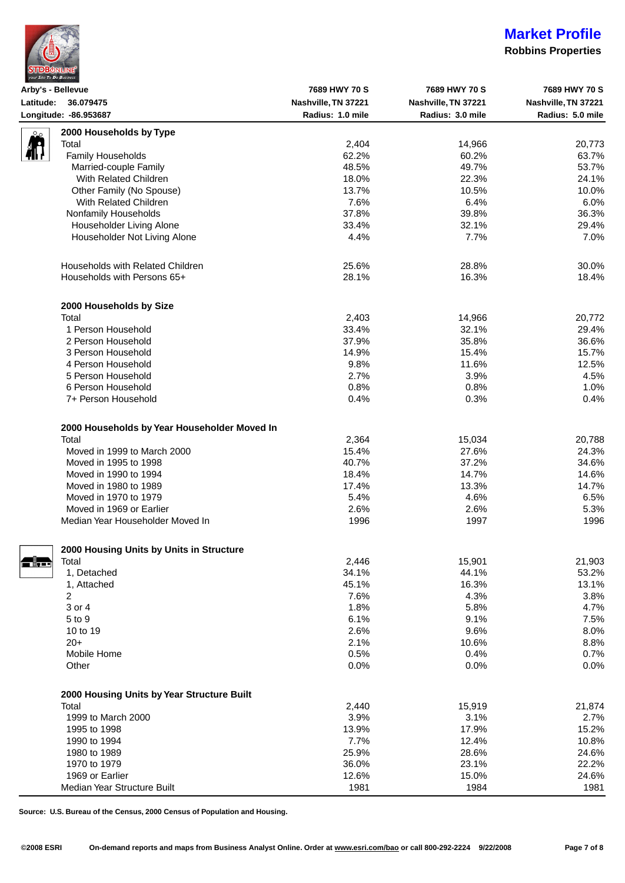|  | <b>STDBONLINE</b><br>your Site To Do Business |
|--|-----------------------------------------------|

## **Robbins Properties**

| Arby's - Bellevue                                                                                                                       |                                              | 7689 HWY 70 S                           | 7689 HWY 70 S       | 7689 HWY 70 S       |
|-----------------------------------------------------------------------------------------------------------------------------------------|----------------------------------------------|-----------------------------------------|---------------------|---------------------|
| Latitude: 36.079475<br>Longitude: -86.953687                                                                                            |                                              | Nashville, TN 37221<br>Radius: 1.0 mile | Nashville, TN 37221 | Nashville, TN 37221 |
|                                                                                                                                         |                                              |                                         | Radius: 3.0 mile    | Radius: 5.0 mile    |
| مے۔                                                                                                                                     | 2000 Households by Type                      |                                         |                     |                     |
| <b>in</b>                                                                                                                               | Total                                        | 2,404                                   | 14,966              | 20,773              |
| 4II Y                                                                                                                                   | Family Households                            | 62.2%                                   | 60.2%               | 63.7%               |
|                                                                                                                                         | Married-couple Family                        | 48.5%                                   | 49.7%               | 53.7%               |
|                                                                                                                                         | With Related Children                        | 18.0%                                   | 22.3%               |                     |
|                                                                                                                                         |                                              |                                         |                     | 24.1%               |
|                                                                                                                                         | Other Family (No Spouse)                     | 13.7%                                   | 10.5%               | 10.0%               |
|                                                                                                                                         | With Related Children                        | 7.6%                                    | 6.4%                | 6.0%                |
|                                                                                                                                         | Nonfamily Households                         | 37.8%                                   | 39.8%               | 36.3%               |
|                                                                                                                                         | Householder Living Alone                     | 33.4%                                   | 32.1%               | 29.4%               |
|                                                                                                                                         | Householder Not Living Alone                 | 4.4%                                    | 7.7%                | 7.0%                |
|                                                                                                                                         | Households with Related Children             | 25.6%                                   | 28.8%               | 30.0%               |
|                                                                                                                                         | Households with Persons 65+                  | 28.1%                                   | 16.3%               | 18.4%               |
|                                                                                                                                         |                                              |                                         |                     |                     |
|                                                                                                                                         | 2000 Households by Size                      |                                         |                     |                     |
|                                                                                                                                         | Total                                        | 2,403                                   | 14,966              | 20,772              |
|                                                                                                                                         | 1 Person Household                           | 33.4%                                   | 32.1%               | 29.4%               |
|                                                                                                                                         | 2 Person Household                           | 37.9%                                   | 35.8%               | 36.6%               |
|                                                                                                                                         | 3 Person Household                           | 14.9%                                   | 15.4%               | 15.7%               |
|                                                                                                                                         | 4 Person Household                           | 9.8%                                    | 11.6%               | 12.5%               |
|                                                                                                                                         | 5 Person Household                           | 2.7%                                    | 3.9%                | 4.5%                |
|                                                                                                                                         | 6 Person Household                           | 0.8%                                    | 0.8%                | 1.0%                |
|                                                                                                                                         | 7+ Person Household                          | 0.4%                                    | 0.3%                | 0.4%                |
|                                                                                                                                         | 2000 Households by Year Householder Moved In |                                         |                     |                     |
|                                                                                                                                         | Total                                        | 2,364                                   | 15,034              | 20,788              |
|                                                                                                                                         | Moved in 1999 to March 2000                  | 15.4%                                   | 27.6%               | 24.3%               |
|                                                                                                                                         | Moved in 1995 to 1998                        | 40.7%                                   | 37.2%               | 34.6%               |
|                                                                                                                                         |                                              |                                         |                     |                     |
|                                                                                                                                         | Moved in 1990 to 1994                        | 18.4%                                   | 14.7%               | 14.6%               |
|                                                                                                                                         | Moved in 1980 to 1989                        | 17.4%                                   | 13.3%               | 14.7%               |
|                                                                                                                                         | Moved in 1970 to 1979                        | 5.4%                                    | 4.6%                | 6.5%                |
|                                                                                                                                         | Moved in 1969 or Earlier                     | 2.6%                                    | 2.6%                | 5.3%                |
|                                                                                                                                         | Median Year Householder Moved In             | 1996                                    | 1997                | 1996                |
|                                                                                                                                         | 2000 Housing Units by Units in Structure     |                                         |                     |                     |
| $\begin{array}{ccc} \begin{array}{ccc} \text{d} & \text{d} & \text{d} \\ \hline \text{d} & \text{d} & \text{d} \end{array} \end{array}$ | Total                                        | 2,446                                   | 15,901              | 21,903              |
|                                                                                                                                         | 1, Detached                                  | 34.1%                                   | 44.1%               | 53.2%               |
|                                                                                                                                         | 1, Attached                                  | 45.1%                                   | 16.3%               | 13.1%               |
|                                                                                                                                         | 2                                            | 7.6%                                    | 4.3%                | 3.8%                |
|                                                                                                                                         |                                              |                                         |                     |                     |
|                                                                                                                                         | 3 or 4                                       | 1.8%                                    | 5.8%                | 4.7%                |
|                                                                                                                                         | 5 to 9                                       | 6.1%                                    | 9.1%                | 7.5%                |
|                                                                                                                                         | 10 to 19                                     | 2.6%                                    | 9.6%                | 8.0%                |
|                                                                                                                                         | $20+$                                        | 2.1%                                    | 10.6%               | 8.8%                |
|                                                                                                                                         | Mobile Home                                  | 0.5%                                    | 0.4%                | 0.7%                |
|                                                                                                                                         | Other                                        | 0.0%                                    | 0.0%                | 0.0%                |
|                                                                                                                                         | 2000 Housing Units by Year Structure Built   |                                         |                     |                     |
|                                                                                                                                         | Total                                        | 2,440                                   | 15,919              | 21,874              |
|                                                                                                                                         | 1999 to March 2000                           | 3.9%                                    | 3.1%                | 2.7%                |
|                                                                                                                                         | 1995 to 1998                                 | 13.9%                                   | 17.9%               | 15.2%               |
|                                                                                                                                         | 1990 to 1994                                 | 7.7%                                    | 12.4%               | 10.8%               |
|                                                                                                                                         |                                              |                                         |                     |                     |
|                                                                                                                                         | 1980 to 1989                                 | 25.9%                                   | 28.6%               | 24.6%               |
|                                                                                                                                         | 1970 to 1979                                 | 36.0%                                   | 23.1%               | 22.2%               |
|                                                                                                                                         | 1969 or Earlier                              | 12.6%                                   | 15.0%               | 24.6%               |
|                                                                                                                                         | Median Year Structure Built                  | 1981                                    | 1984                | 1981                |

**Source: U.S. Bureau of the Census, 2000 Census of Population and Housing.**